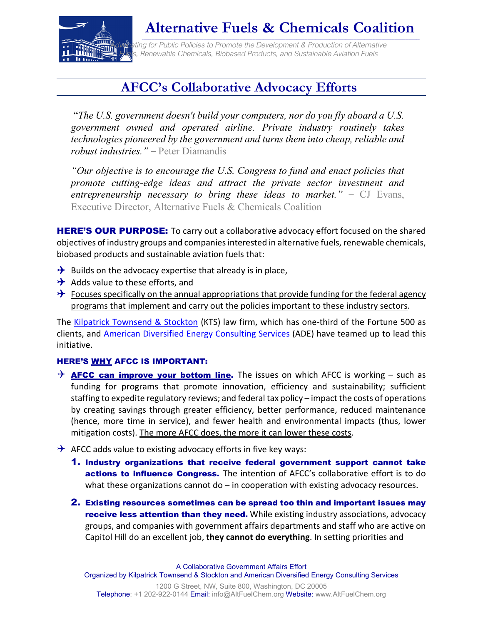

# **Alternative Fuels & Chemicals Coalition**

The Company of Public Policies to Promote the Development & Production of Alternative **Furnity Caming for Public Policies to Promote the Development & Production of Alternation**<br>**Function** Fuels Spenewable Chemicals, Biobased Products, and Sustainable Aviation Fuels

# **AFCC's Collaborative Advocacy Efforts**

"*The U.S. government doesn't build your computers, nor do you fly aboard a U.S. government owned and operated airline. Private industry routinely takes technologies pioneered by the government and turns them into cheap, reliable and robust industries."* – Peter Diamandis

*"Our objective is to encourage the U.S. Congress to fund and enact policies that promote cutting-edge ideas and attract the private sector investment and entrepreneurship necessary to bring these ideas to market."* – CJ Evans, Executive Director, Alternative Fuels & Chemicals Coalition

**HERE'S OUR PURPOSE:** To carry out a collaborative advocacy effort focused on the shared objectives of industry groups and companies interested in alternative fuels, renewable chemicals, biobased products and sustainable aviation fuels that:

- $\rightarrow$  Builds on the advocacy expertise that already is in place,
- $\rightarrow$  Adds value to these efforts, and
- $\rightarrow$  Focuses specifically on the annual appropriations that provide funding for the federal agency programs that implement and carry out the policies important to these industry sectors.

The [Kilpatrick Townsend & Stockton](https://www.kilpatricktownsend.com/) (KTS) law firm, which has one-third of the Fortune 500 as clients, and **[American Diversified Energy Consulting Services](http://www.americandiversified.energy/)** (ADE) have teamed up to lead this initiative.

### HERE'S WHY AFCC IS IMPORTANT:

- $\rightarrow$  **AFCC can improve your bottom line.** The issues on which AFCC is working such as funding for programs that promote innovation, efficiency and sustainability; sufficient staffing to expedite regulatory reviews; and federal tax policy – impact the costs of operations by creating savings through greater efficiency, better performance, reduced maintenance (hence, more time in service), and fewer health and environmental impacts (thus, lower mitigation costs). The more AFCC does, the more it can lower these costs.
- $\rightarrow$  AFCC adds value to existing advocacy efforts in five key ways:
	- 1. Industry organizations that receive federal government support cannot take actions to influence Congress. The intention of AFCC's collaborative effort is to do what these organizations cannot do - in cooperation with existing advocacy resources.
	- 2. Existing resources sometimes can be spread too thin and important issues may receive less attention than they need. While existing industry associations, advocacy groups, and companies with government affairs departments and staff who are active on Capitol Hill do an excellent job, **they cannot do everything**. In setting priorities and

A Collaborative Government Affairs Effort Organized by Kilpatrick Townsend & Stockton and American Diversified Energy Consulting Services 1200 G Street, NW, Suite 800, Washington, DC 20005

Telephone: +1 202-922-0144 Email: info@AltFuelChem.org Website: www.AltFuelChem.org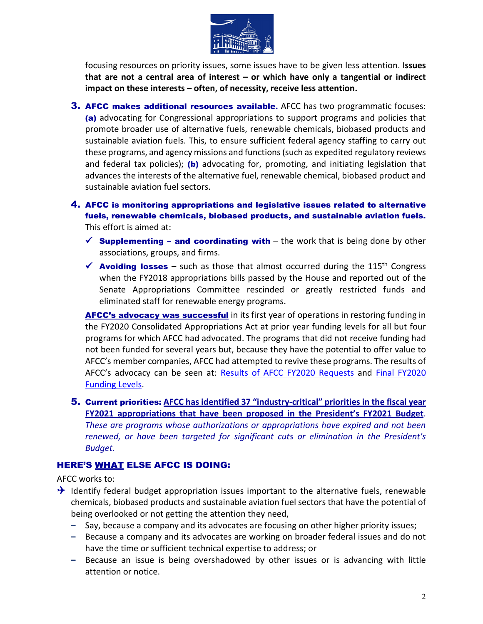

focusing resources on priority issues, some issues have to be given less attention. I**ssues that are not a central area of interest – or which have only a tangential or indirect impact on these interests – often, of necessity, receive less attention.**

- 3. AFCC makes additional resources available**.** AFCC has two programmatic focuses: (a) advocating for Congressional appropriations to support programs and policies that promote broader use of alternative fuels, renewable chemicals, biobased products and sustainable aviation fuels. This, to ensure sufficient federal agency staffing to carry out these programs, and agency missions and functions (such as expedited regulatory reviews and federal tax policies); (b) advocating for, promoting, and initiating legislation that advances the interests of the alternative fuel, renewable chemical, biobased product and sustainable aviation fuel sectors.
- 4. AFCC is monitoring appropriations and legislative issues related to alternative fuels, renewable chemicals, biobased products, and sustainable aviation fuels. This effort is aimed at:
	- $\checkmark$  Supplementing and coordinating with the work that is being done by other associations, groups, and firms.
	- $\checkmark$  Avoiding losses such as those that almost occurred during the 115<sup>th</sup> Congress when the FY2018 appropriations bills passed by the House and reported out of the Senate Appropriations Committee rescinded or greatly restricted funds and eliminated staff for renewable energy programs.

**AFCC's advocacy was successful** in its first year of operations in restoring funding in the FY2020 Consolidated Appropriations Act at prior year funding levels for all but four programs for which AFCC had advocated. The programs that did not receive funding had not been funded for several years but, because they have the potential to offer value to AFCC's member companies, AFCC had attempted to revive these programs. The results of AFCC's advocacy can be seen at: [Results of AFCC FY2020 Requests](https://7bdc9ed1-5541-4922-aeae-2573761cb763.filesusr.com/ugd/7694c1_4d500e47f25442888ddbe7922b01396f.pdf) and Final FY2020 [Funding Levels.](https://7bdc9ed1-5541-4922-aeae-2573761cb763.filesusr.com/ugd/7694c1_6ad2f2ef692a4f7ab42997e6762a86fa.pdf)

5. Current priorities: **AFCC has identified 37 "industry-critical" priorities in the fiscal year FY2021 appropriations that have been proposed in the President's FY2021 Budget**. *These are programs whose authorizations or appropriations have expired and not been renewed, or have been targeted for significant cuts or elimination in the President's Budget.*

### HERE'S WHAT ELSE AFCC IS DOING:

AFCC works to:

- $\rightarrow$  Identify federal budget appropriation issues important to the alternative fuels, renewable chemicals, biobased products and sustainable aviation fuel sectors that have the potential of being overlooked or not getting the attention they need,
	- **–** Say, because a company and its advocates are focusing on other higher priority issues;
	- **–** Because a company and its advocates are working on broader federal issues and do not have the time or sufficient technical expertise to address; or
	- **–** Because an issue is being overshadowed by other issues or is advancing with little attention or notice.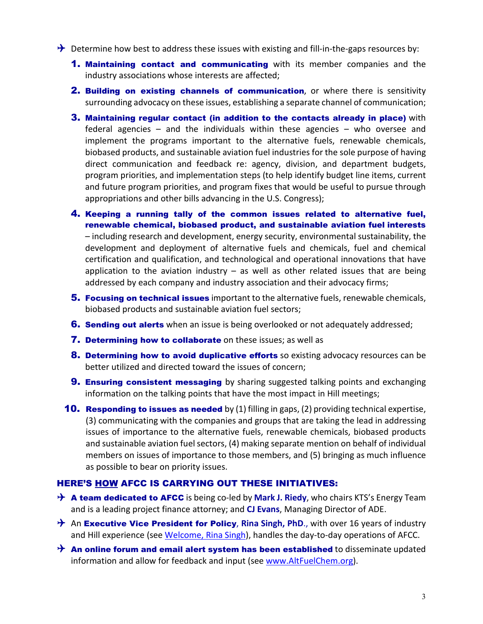- $\rightarrow$  Determine how best to address these issues with existing and fill-in-the-gaps resources by:
	- **1. Maintaining contact and communicating** with its member companies and the industry associations whose interests are affected;
	- 2. Building on existing channels of communication, or where there is sensitivity surrounding advocacy on these issues, establishing a separate channel of communication;
	- 3. Maintaining regular contact (in addition to the contacts already in place) with federal agencies – and the individuals within these agencies – who oversee and implement the programs important to the alternative fuels, renewable chemicals, biobased products, and sustainable aviation fuel industries for the sole purpose of having direct communication and feedback re: agency, division, and department budgets, program priorities, and implementation steps (to help identify budget line items, current and future program priorities, and program fixes that would be useful to pursue through appropriations and other bills advancing in the U.S. Congress);
	- 4. Keeping a running tally of the common issues related to alternative fuel, renewable chemical, biobased product, and sustainable aviation fuel interests – including research and development, energy security, environmental sustainability, the development and deployment of alternative fuels and chemicals, fuel and chemical certification and qualification, and technological and operational innovations that have application to the aviation industry  $-$  as well as other related issues that are being addressed by each company and industry association and their advocacy firms;
	- **5. Focusing on technical issues** important to the alternative fuels, renewable chemicals, biobased products and sustainable aviation fuel sectors;
	- **6. Sending out alerts** when an issue is being overlooked or not adequately addressed;
	- **7. Determining how to collaborate** on these issues; as well as
	- 8. Determining how to avoid duplicative efforts so existing advocacy resources can be better utilized and directed toward the issues of concern;
	- **9. Ensuring consistent messaging** by sharing suggested talking points and exchanging information on the talking points that have the most impact in Hill meetings;
	- **10. Responding to issues as needed** by  $(1)$  filling in gaps,  $(2)$  providing technical expertise, (3) communicating with the companies and groups that are taking the lead in addressing issues of importance to the alternative fuels, renewable chemicals, biobased products and sustainable aviation fuel sectors, (4) making separate mention on behalf of individual members on issues of importance to those members, and (5) bringing as much influence as possible to bear on priority issues.

#### HERE'S HOW AFCC IS CARRYING OUT THESE INITIATIVES:

- **→ A team dedicated to AFCC** is being co-led by **Mark J. Riedy**, who chairs KTS's Energy Team and is a leading project finance attorney; and **CJ Evans**, Managing Director of ADE.
- → An **Executive Vice President for Policy**, Rina Singh, PhD., with over 16 years of industry and Hill experience (see [Welcome, Rina Singh\)](https://docs.wixstatic.com/ugd/7694c1_a53f974b52f34a739b8179eb04c2e54e.pdf), handles the day-to-day operations of AFCC.
- $\rightarrow$  An online forum and email alert system has been established to disseminate updated information and allow for feedback and input (see [www.AltFuelChem.org\)](http://www.altfuels.net/).